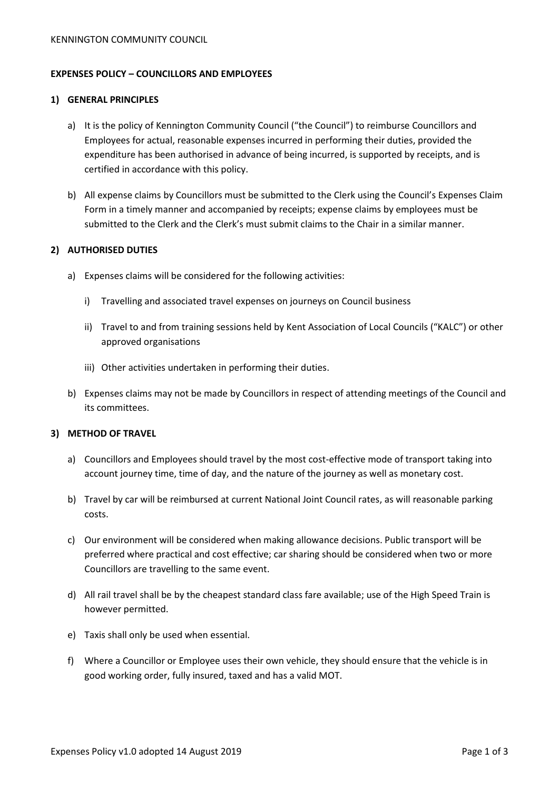### **EXPENSES POLICY – COUNCILLORS AND EMPLOYEES**

#### **1) GENERAL PRINCIPLES**

- a) It is the policy of Kennington Community Council ("the Council") to reimburse Councillors and Employees for actual, reasonable expenses incurred in performing their duties, provided the expenditure has been authorised in advance of being incurred, is supported by receipts, and is certified in accordance with this policy.
- b) All expense claims by Councillors must be submitted to the Clerk using the Council's Expenses Claim Form in a timely manner and accompanied by receipts; expense claims by employees must be submitted to the Clerk and the Clerk's must submit claims to the Chair in a similar manner.

### **2) AUTHORISED DUTIES**

- a) Expenses claims will be considered for the following activities:
	- i) Travelling and associated travel expenses on journeys on Council business
	- ii) Travel to and from training sessions held by Kent Association of Local Councils ("KALC") or other approved organisations
	- iii) Other activities undertaken in performing their duties.
- b) Expenses claims may not be made by Councillors in respect of attending meetings of the Council and its committees.

### **3) METHOD OF TRAVEL**

- a) Councillors and Employees should travel by the most cost-effective mode of transport taking into account journey time, time of day, and the nature of the journey as well as monetary cost.
- b) Travel by car will be reimbursed at current National Joint Council rates, as will reasonable parking costs.
- c) Our environment will be considered when making allowance decisions. Public transport will be preferred where practical and cost effective; car sharing should be considered when two or more Councillors are travelling to the same event.
- d) All rail travel shall be by the cheapest standard class fare available; use of the High Speed Train is however permitted.
- e) Taxis shall only be used when essential.
- f) Where a Councillor or Employee uses their own vehicle, they should ensure that the vehicle is in good working order, fully insured, taxed and has a valid MOT.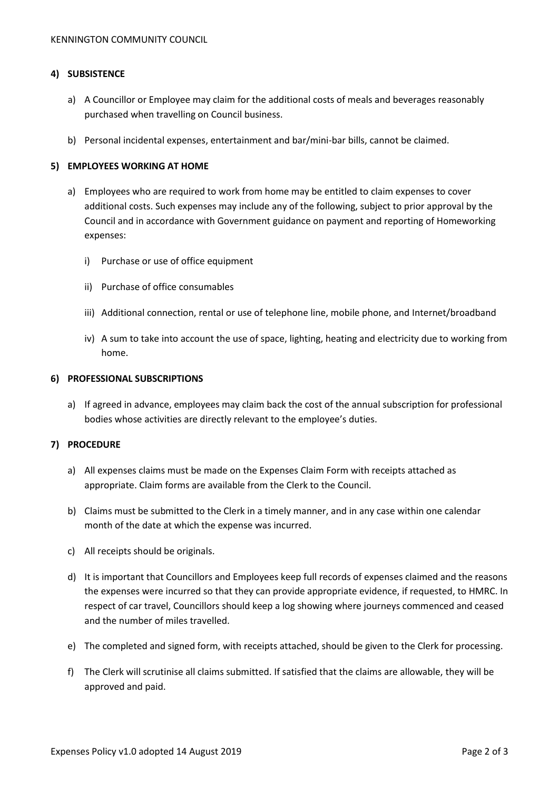### **4) SUBSISTENCE**

- a) A Councillor or Employee may claim for the additional costs of meals and beverages reasonably purchased when travelling on Council business.
- b) Personal incidental expenses, entertainment and bar/mini-bar bills, cannot be claimed.

### **5) EMPLOYEES WORKING AT HOME**

- a) Employees who are required to work from home may be entitled to claim expenses to cover additional costs. Such expenses may include any of the following, subject to prior approval by the Council and in accordance with Government guidance on payment and reporting of Homeworking expenses:
	- i) Purchase or use of office equipment
	- ii) Purchase of office consumables
	- iii) Additional connection, rental or use of telephone line, mobile phone, and Internet/broadband
	- iv) A sum to take into account the use of space, lighting, heating and electricity due to working from home.

#### **6) PROFESSIONAL SUBSCRIPTIONS**

a) If agreed in advance, employees may claim back the cost of the annual subscription for professional bodies whose activities are directly relevant to the employee's duties.

### **7) PROCEDURE**

- a) All expenses claims must be made on the Expenses Claim Form with receipts attached as appropriate. Claim forms are available from the Clerk to the Council.
- b) Claims must be submitted to the Clerk in a timely manner, and in any case within one calendar month of the date at which the expense was incurred.
- c) All receipts should be originals.
- d) It is important that Councillors and Employees keep full records of expenses claimed and the reasons the expenses were incurred so that they can provide appropriate evidence, if requested, to HMRC. In respect of car travel, Councillors should keep a log showing where journeys commenced and ceased and the number of miles travelled.
- e) The completed and signed form, with receipts attached, should be given to the Clerk for processing.
- f) The Clerk will scrutinise all claims submitted. If satisfied that the claims are allowable, they will be approved and paid.